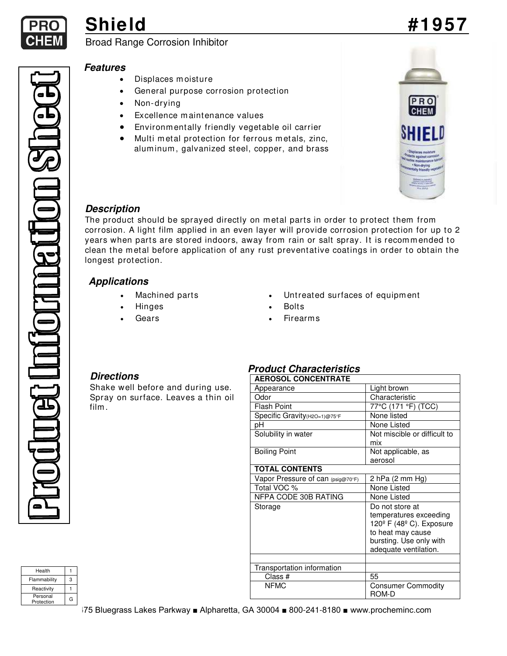

# **Shield #1957**

## Broad Range Corrosion Inhibitor

### **Features**

- Displaces m oisture
- General purpose corrosion protection
- Non-drying
- Excellence maintenance values
- Environm entally friendly vegetable oil carrier
- Multi metal protection for ferrous metals, zinc, aluminum, galvanized steel, copper, and brass



### **Description**

The product should be sprayed directly on metal parts in order to protect them from corrosion. A light film applied in an even layer will provide corrosion protection for up to 2 years when parts are stored indoors, away from rain or salt spray. It is recommended to clean the m etal before application of any rust preventative coatings in order to obtain the longest protection.

### **Applications**

- 
- 
- 
- Machined parts Untreated surfaces of equipment
	- Hinges Bolts
	- Gears Firearms

### **Directions**

Shake well before and during use. Spray on surface. Leaves a thin oil film .

### **Product Characteristics**

| <b>AEROSOL CONCENTRATE</b>        |                                                                              |  |
|-----------------------------------|------------------------------------------------------------------------------|--|
| Appearance                        | Light brown                                                                  |  |
| Odor                              | Characteristic                                                               |  |
| Flash Point                       | 77°C (171 °F) (TCC)                                                          |  |
| Specific Gravity (H2O=1)@75°F     | None listed                                                                  |  |
| рH                                | None Listed                                                                  |  |
| Solubility in water               | Not miscible or difficult to<br>mix                                          |  |
| <b>Boiling Point</b>              | Not applicable, as                                                           |  |
|                                   | aerosol                                                                      |  |
| <b>TOTAL CONTENTS</b>             |                                                                              |  |
| Vapor Pressure of can (psig@70°F) | 2 hPa $(2 \text{ mm Hg})$                                                    |  |
| Total VOC %                       | None Listed                                                                  |  |
| NFPA CODE 30B RATING              | None Listed                                                                  |  |
| Storage                           | Do not store at                                                              |  |
|                                   | temperatures exceeding<br>120 $\textdegree$ F (48 $\textdegree$ C). Exposure |  |
|                                   | to heat may cause                                                            |  |
|                                   | bursting. Use only with                                                      |  |
|                                   | adequate ventilation.                                                        |  |
|                                   |                                                                              |  |
| Transportation information        |                                                                              |  |
| Class #                           | 55                                                                           |  |
| <b>NFMC</b>                       | <b>Consumer Commodity</b><br>ROM-D                                           |  |

| Health                 |   |
|------------------------|---|
| Flammability           | 3 |
| Reactivity             |   |
| Personal<br>Protection | G |